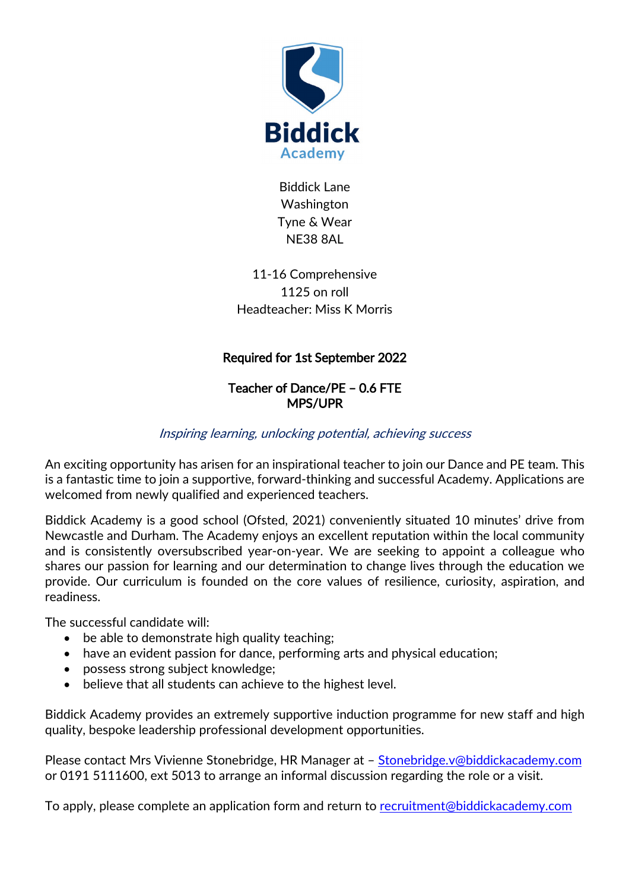

Biddick Lane Washington Tyne & Wear NE38 8AL

11-16 Comprehensive 1125 on roll Headteacher: Miss K Morris

## Required for 1st September 2022

## Teacher of Dance/PE – 0.6 FTE MPS/UPR

## Inspiring learning, unlocking potential, achieving success

An exciting opportunity has arisen for an inspirational teacher to join our Dance and PE team. This is a fantastic time to join a supportive, forward-thinking and successful Academy. Applications are welcomed from newly qualified and experienced teachers.

Biddick Academy is a good school (Ofsted, 2021) conveniently situated 10 minutes' drive from Newcastle and Durham. The Academy enjoys an excellent reputation within the local community and is consistently oversubscribed year-on-year. We are seeking to appoint a colleague who shares our passion for learning and our determination to change lives through the education we provide. Our curriculum is founded on the core values of resilience, curiosity, aspiration, and readiness.

The successful candidate will:

- be able to demonstrate high quality teaching;
- have an evident passion for dance, performing arts and physical education;
- possess strong subject knowledge;
- believe that all students can achieve to the highest level.

Biddick Academy provides an extremely supportive induction programme for new staff and high quality, bespoke leadership professional development opportunities.

Please contact Mrs Vivienne Stonebridge, HR Manager at - [Stonebridge.v@biddickacademy.com](mailto:Stonebridge.v@biddickacademy.com) or 0191 5111600, ext 5013 to arrange an informal discussion regarding the role or a visit.

To apply, please complete an application form and return to [recruitment@biddickacademy.com](mailto:recruitment@biddickacademy.com)